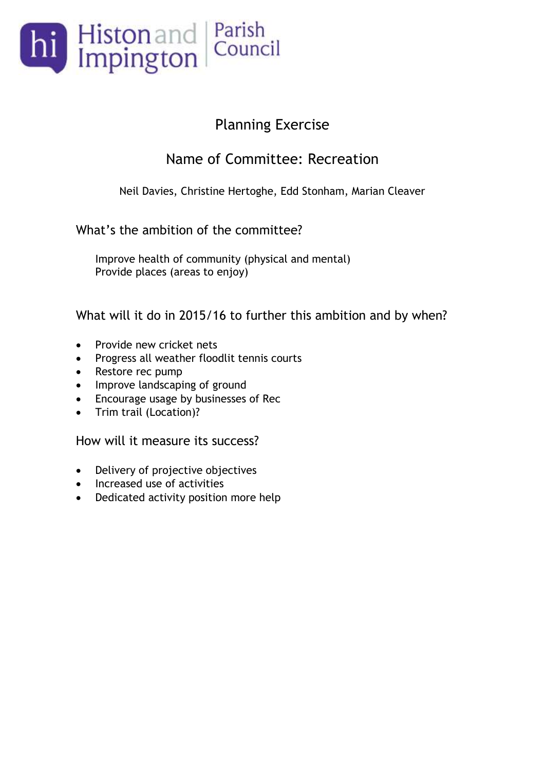

#### Name of Committee: Recreation

Neil Davies, Christine Hertoghe, Edd Stonham, Marian Cleaver

#### What's the ambition of the committee?

Improve health of community (physical and mental) Provide places (areas to enjoy)

#### What will it do in 2015/16 to further this ambition and by when?

- Provide new cricket nets
- Progress all weather floodlit tennis courts
- Restore rec pump
- Improve landscaping of ground
- Encourage usage by businesses of Rec
- Trim trail (Location)?

- Delivery of projective objectives
- Increased use of activities
- Dedicated activity position more help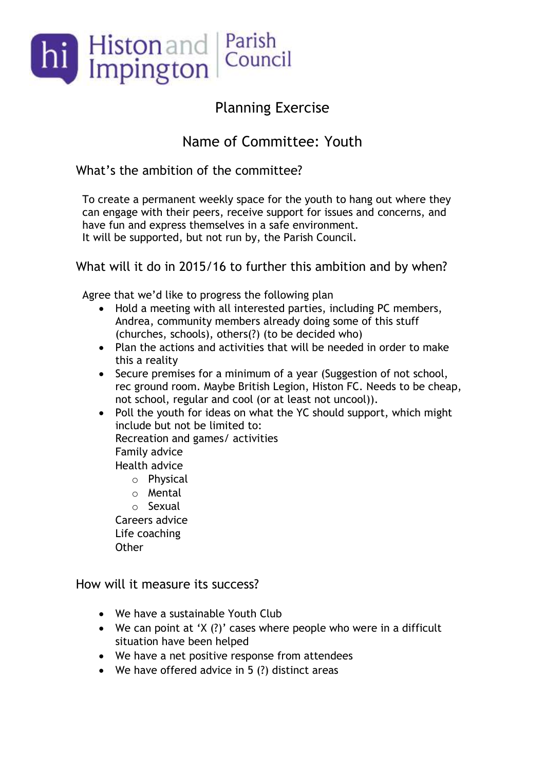

### Name of Committee: Youth

What's the ambition of the committee?

To create a permanent weekly space for the youth to hang out where they can engage with their peers, receive support for issues and concerns, and have fun and express themselves in a safe environment. It will be supported, but not run by, the Parish Council.

What will it do in 2015/16 to further this ambition and by when?

Agree that we'd like to progress the following plan

- Hold a meeting with all interested parties, including PC members, Andrea, community members already doing some of this stuff (churches, schools), others(?) (to be decided who)
- Plan the actions and activities that will be needed in order to make this a reality
- Secure premises for a minimum of a year (Suggestion of not school, rec ground room. Maybe British Legion, Histon FC. Needs to be cheap, not school, regular and cool (or at least not uncool)).
- Poll the youth for ideas on what the YC should support, which might include but not be limited to: Recreation and games/ activities Family advice Health advice
	- o Physical
	- o Mental
	- o Sexual

Careers advice Life coaching **Other** 

- We have a sustainable Youth Club
- We can point at 'X (?)' cases where people who were in a difficult situation have been helped
- We have a net positive response from attendees
- We have offered advice in 5 (?) distinct areas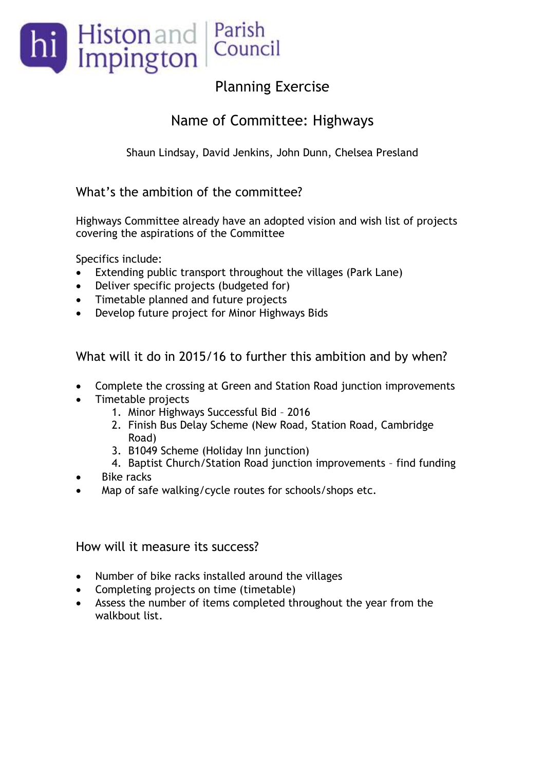

#### Name of Committee: Highways

Shaun Lindsay, David Jenkins, John Dunn, Chelsea Presland

#### What's the ambition of the committee?

Highways Committee already have an adopted vision and wish list of projects covering the aspirations of the Committee

Specifics include:

- Extending public transport throughout the villages (Park Lane)
- Deliver specific projects (budgeted for)
- Timetable planned and future projects
- Develop future project for Minor Highways Bids

What will it do in 2015/16 to further this ambition and by when?

- Complete the crossing at Green and Station Road junction improvements
- Timetable projects
	- 1. Minor Highways Successful Bid 2016
	- 2. Finish Bus Delay Scheme (New Road, Station Road, Cambridge Road)
	- 3. B1049 Scheme (Holiday Inn junction)
	- 4. Baptist Church/Station Road junction improvements find funding
- Bike racks
- Map of safe walking/cycle routes for schools/shops etc.

- Number of bike racks installed around the villages
- Completing projects on time (timetable)
- Assess the number of items completed throughout the year from the walkbout list.